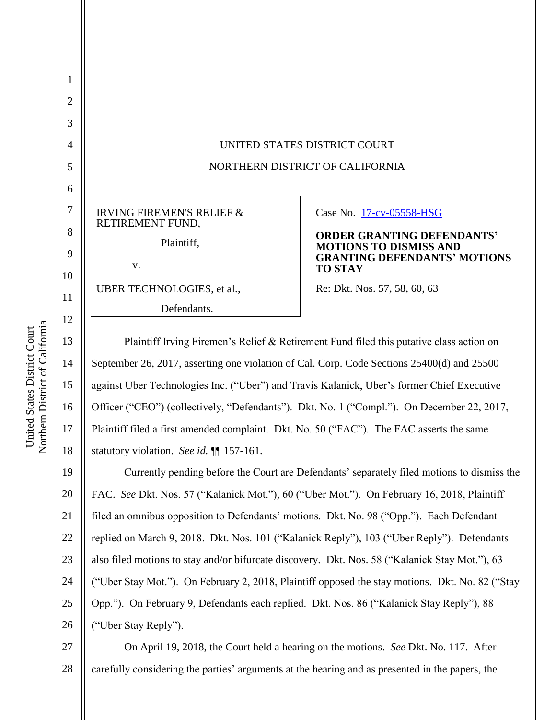

Plaintiff Irving Firemen's Relief & Retirement Fund filed this putative class action on September 26, 2017, asserting one violation of Cal. Corp. Code Sections 25400(d) and 25500 against Uber Technologies Inc. ("Uber") and Travis Kalanick, Uber's former Chief Executive Officer ("CEO") (collectively, "Defendants"). Dkt. No. 1 ("Compl."). On December 22, 2017, Plaintiff filed a first amended complaint. Dkt. No. 50 ("FAC"). The FAC asserts the same statutory violation. *See id.* ¶¶ 157-161.

19 20 21 22 23 24 25 26 Currently pending before the Court are Defendants' separately filed motions to dismiss the FAC. *See* Dkt. Nos. 57 ("Kalanick Mot."), 60 ("Uber Mot."). On February 16, 2018, Plaintiff filed an omnibus opposition to Defendants' motions. Dkt. No. 98 ("Opp."). Each Defendant replied on March 9, 2018. Dkt. Nos. 101 ("Kalanick Reply"), 103 ("Uber Reply"). Defendants also filed motions to stay and/or bifurcate discovery. Dkt. Nos. 58 ("Kalanick Stay Mot."), 63 ("Uber Stay Mot."). On February 2, 2018, Plaintiff opposed the stay motions. Dkt. No. 82 ("Stay Opp."). On February 9, Defendants each replied. Dkt. Nos. 86 ("Kalanick Stay Reply"), 88 ("Uber Stay Reply").

27 28 On April 19, 2018, the Court held a hearing on the motions. *See* Dkt. No. 117. After carefully considering the parties' arguments at the hearing and as presented in the papers, the

14

15

16

17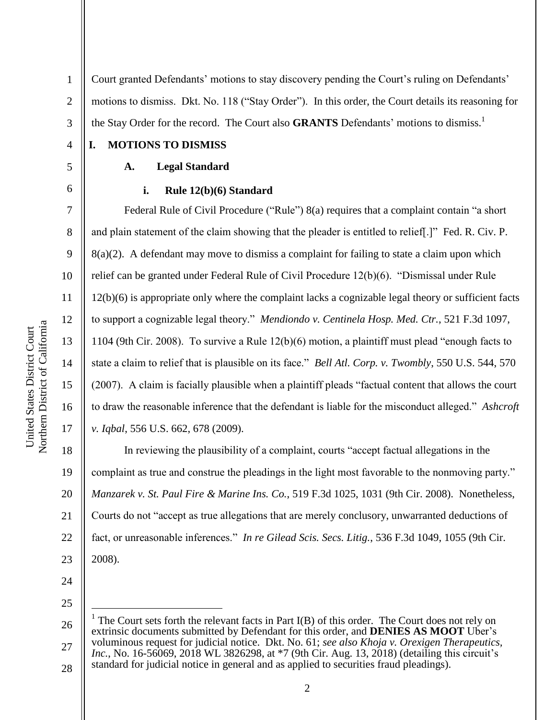Northern District of California Northern District of California United States District Court United States District Court

4

5

6

7

8

9

10

11

12

13

14

15

16

17

1 2 3 Court granted Defendants' motions to stay discovery pending the Court's ruling on Defendants' motions to dismiss. Dkt. No. 118 ("Stay Order"). In this order, the Court details its reasoning for the Stay Order for the record. The Court also **GRANTS** Defendants' motions to dismiss.<sup>1</sup>

**I. MOTIONS TO DISMISS**

## **A. Legal Standard**

### **i. Rule 12(b)(6) Standard**

Federal Rule of Civil Procedure ("Rule") 8(a) requires that a complaint contain "a short and plain statement of the claim showing that the pleader is entitled to relief[.]" Fed. R. Civ. P. 8(a)(2). A defendant may move to dismiss a complaint for failing to state a claim upon which relief can be granted under Federal Rule of Civil Procedure 12(b)(6). "Dismissal under Rule 12(b)(6) is appropriate only where the complaint lacks a cognizable legal theory or sufficient facts to support a cognizable legal theory." *Mendiondo v. Centinela Hosp. Med. Ctr.*, 521 F.3d 1097, 1104 (9th Cir. 2008). To survive a Rule 12(b)(6) motion, a plaintiff must plead "enough facts to state a claim to relief that is plausible on its face." *Bell Atl. Corp. v. Twombly*, 550 U.S. 544, 570 (2007). A claim is facially plausible when a plaintiff pleads "factual content that allows the court to draw the reasonable inference that the defendant is liable for the misconduct alleged." *Ashcroft v. Iqbal*, 556 U.S. 662, 678 (2009).

18 19 20 21 22 23 In reviewing the plausibility of a complaint, courts "accept factual allegations in the complaint as true and construe the pleadings in the light most favorable to the nonmoving party." *Manzarek v. St. Paul Fire & Marine Ins. Co.*, 519 F.3d 1025, 1031 (9th Cir. 2008). Nonetheless, Courts do not "accept as true allegations that are merely conclusory, unwarranted deductions of fact, or unreasonable inferences." *In re Gilead Scis. Secs. Litig.*, 536 F.3d 1049, 1055 (9th Cir. 2008).

- 24
- 25

 $\overline{a}$ 

<sup>26</sup> 27 28 <sup>1</sup> The Court sets forth the relevant facts in Part  $I(B)$  of this order. The Court does not rely on extrinsic documents submitted by Defendant for this order, and **DENIES AS MOOT** Uber's voluminous request for judicial notice. Dkt. No. 61; *see also Khoja v. Orexigen Therapeutics, Inc.*, No. 16-56069, 2018 WL 3826298, at \*7 (9th Cir. Aug. 13, 2018) (detailing this circuit's standard for judicial notice in general and as applied to securities fraud pleadings).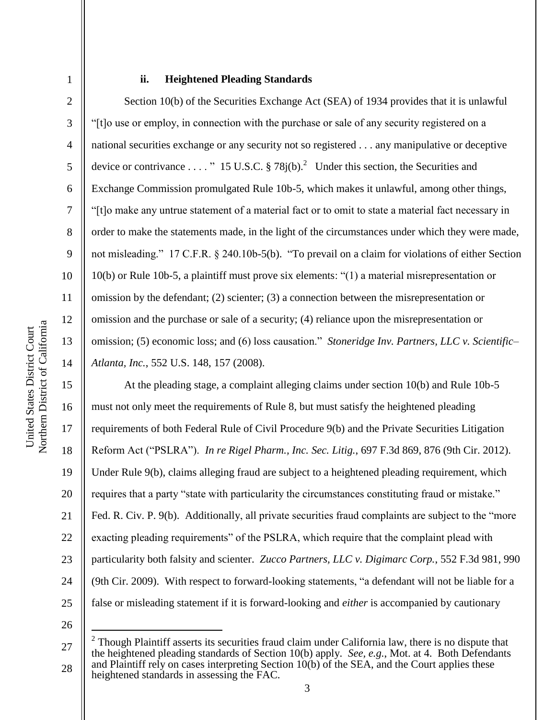2

3

4

5

6

7

8

9

10

11

12

13

14

#### **ii. Heightened Pleading Standards**

Section 10(b) of the Securities Exchange Act (SEA) of 1934 provides that it is unlawful "[t]o use or employ, in connection with the purchase or sale of any security registered on a national securities exchange or any security not so registered . . . any manipulative or deceptive device or contrivance ...." 15 U.S.C. § 78 $j(b)$ .<sup>2</sup> Under this section, the Securities and Exchange Commission promulgated Rule 10b-5, which makes it unlawful, among other things, "[t]o make any untrue statement of a material fact or to omit to state a material fact necessary in order to make the statements made, in the light of the circumstances under which they were made, not misleading." 17 C.F.R. § 240.10b-5(b). "To prevail on a claim for violations of either Section 10(b) or Rule 10b-5, a plaintiff must prove six elements: "(1) a material misrepresentation or omission by the defendant; (2) scienter; (3) a connection between the misrepresentation or omission and the purchase or sale of a security; (4) reliance upon the misrepresentation or omission; (5) economic loss; and (6) loss causation." *Stoneridge Inv. Partners, LLC v. Scientific– Atlanta, Inc.*, 552 U.S. 148, 157 (2008).

15 16 17 18 19 20 21 22 23 24 25 At the pleading stage, a complaint alleging claims under section 10(b) and Rule 10b-5 must not only meet the requirements of Rule 8, but must satisfy the heightened pleading requirements of both Federal Rule of Civil Procedure 9(b) and the Private Securities Litigation Reform Act ("PSLRA"). *In re Rigel Pharm., Inc. Sec. Litig.*, 697 F.3d 869, 876 (9th Cir. 2012). Under Rule 9(b), claims alleging fraud are subject to a heightened pleading requirement, which requires that a party "state with particularity the circumstances constituting fraud or mistake." Fed. R. Civ. P. 9(b). Additionally, all private securities fraud complaints are subject to the "more exacting pleading requirements" of the PSLRA, which require that the complaint plead with particularity both falsity and scienter. *Zucco Partners, LLC v. Digimarc Corp.*, 552 F.3d 981, 990 (9th Cir. 2009). With respect to forward-looking statements, "a defendant will not be liable for a false or misleading statement if it is forward-looking and *either* is accompanied by cautionary

26

 $\overline{a}$ 

<sup>27</sup> 28 2 Though Plaintiff asserts its securities fraud claim under California law, there is no dispute that the heightened pleading standards of Section 10(b) apply. *See, e.g.*, Mot. at 4. Both Defendants and Plaintiff rely on cases interpreting Section  $10(b)$  of the SEA, and the Court applies these heightened standards in assessing the FAC.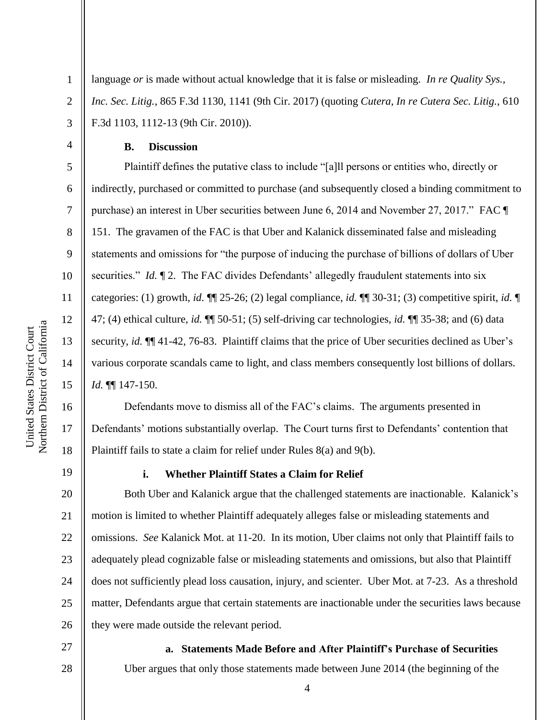language *or* is made without actual knowledge that it is false or misleading. *In re Quality Sys., Inc. Sec. Litig.*, 865 F.3d 1130, 1141 (9th Cir. 2017) (quoting *Cutera*, *In re Cutera Sec. Litig.*, 610 F.3d 1103, 1112-13 (9th Cir. 2010)).

**B. Discussion**

Plaintiff defines the putative class to include "[a]ll persons or entities who, directly or indirectly, purchased or committed to purchase (and subsequently closed a binding commitment to purchase) an interest in Uber securities between June 6, 2014 and November 27, 2017." FAC ¶ 151. The gravamen of the FAC is that Uber and Kalanick disseminated false and misleading statements and omissions for "the purpose of inducing the purchase of billions of dollars of Uber securities." *Id.* 12. The FAC divides Defendants' allegedly fraudulent statements into six categories: (1) growth, *id.* ¶¶ 25-26; (2) legal compliance, *id.* ¶¶ 30-31; (3) competitive spirit, *id.* ¶ 47; (4) ethical culture, *id.* ¶¶ 50-51; (5) self-driving car technologies, *id.* ¶¶ 35-38; and (6) data security, *id.*  $\P$  41-42, 76-83. Plaintiff claims that the price of Uber securities declined as Uber's various corporate scandals came to light, and class members consequently lost billions of dollars. *Id.* ¶¶ 147-150.

Defendants move to dismiss all of the FAC's claims. The arguments presented in Defendants' motions substantially overlap. The Court turns first to Defendants' contention that Plaintiff fails to state a claim for relief under Rules 8(a) and 9(b).

19

1

2

3

4

5

6

7

8

9

10

11

12

13

14

15

16

17

18

#### **i. Whether Plaintiff States a Claim for Relief**

20 21 22 23 24 25 26 Both Uber and Kalanick argue that the challenged statements are inactionable. Kalanick's motion is limited to whether Plaintiff adequately alleges false or misleading statements and omissions. *See* Kalanick Mot. at 11-20. In its motion, Uber claims not only that Plaintiff fails to adequately plead cognizable false or misleading statements and omissions, but also that Plaintiff does not sufficiently plead loss causation, injury, and scienter. Uber Mot. at 7-23. As a threshold matter, Defendants argue that certain statements are inactionable under the securities laws because they were made outside the relevant period.

27 28

Uber argues that only those statements made between June 2014 (the beginning of the

**a. Statements Made Before and After Plaintiff's Purchase of Securities**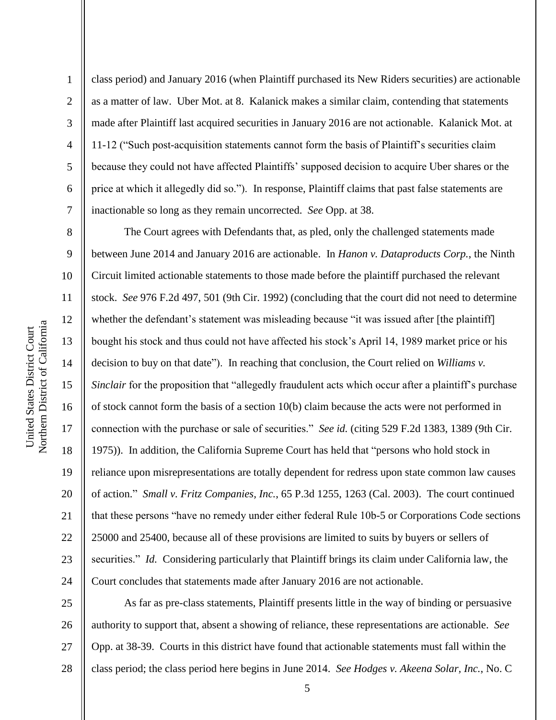2

3

4

5

6

7

8

9

10

11

12

13

14

15

16

17

18

19

20

21

22

23

24

class period) and January 2016 (when Plaintiff purchased its New Riders securities) are actionable as a matter of law. Uber Mot. at 8. Kalanick makes a similar claim, contending that statements made after Plaintiff last acquired securities in January 2016 are not actionable. Kalanick Mot. at 11-12 ("Such post-acquisition statements cannot form the basis of Plaintiff's securities claim because they could not have affected Plaintiffs' supposed decision to acquire Uber shares or the price at which it allegedly did so."). In response, Plaintiff claims that past false statements are inactionable so long as they remain uncorrected. *See* Opp. at 38.

The Court agrees with Defendants that, as pled, only the challenged statements made between June 2014 and January 2016 are actionable. In *Hanon v. Dataproducts Corp.*, the Ninth Circuit limited actionable statements to those made before the plaintiff purchased the relevant stock. *See* 976 F.2d 497, 501 (9th Cir. 1992) (concluding that the court did not need to determine whether the defendant's statement was misleading because "it was issued after [the plaintiff] bought his stock and thus could not have affected his stock's April 14, 1989 market price or his decision to buy on that date"). In reaching that conclusion, the Court relied on *Williams v. Sinclair* for the proposition that "allegedly fraudulent acts which occur after a plaintiff's purchase of stock cannot form the basis of a section 10(b) claim because the acts were not performed in connection with the purchase or sale of securities." *See id.* (citing 529 F.2d 1383, 1389 (9th Cir. 1975)). In addition, the California Supreme Court has held that "persons who hold stock in reliance upon misrepresentations are totally dependent for redress upon state common law causes of action." *Small v. Fritz Companies, Inc.*, 65 P.3d 1255, 1263 (Cal. 2003). The court continued that these persons "have no remedy under either federal Rule 10b-5 or Corporations Code sections 25000 and 25400, because all of these provisions are limited to suits by buyers or sellers of securities." *Id.* Considering particularly that Plaintiff brings its claim under California law, the Court concludes that statements made after January 2016 are not actionable.

25 26 27 28 As far as pre-class statements, Plaintiff presents little in the way of binding or persuasive authority to support that, absent a showing of reliance, these representations are actionable. *See*  Opp. at 38-39. Courts in this district have found that actionable statements must fall within the class period; the class period here begins in June 2014. *See Hodges v. Akeena Solar, Inc.*, No. C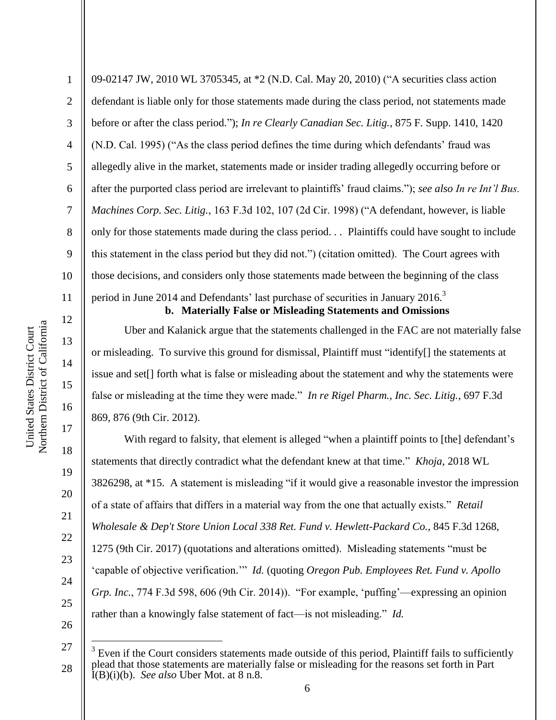13

14

15

16

17

18

19

20

21

22

23

24

25

26

27

 $\overline{a}$ 

28

1 2 3 4 5 6 7 8 9 10 11 09-02147 JW, 2010 WL 3705345, at \*2 (N.D. Cal. May 20, 2010) ("A securities class action defendant is liable only for those statements made during the class period, not statements made before or after the class period."); *In re Clearly Canadian Sec. Litig.*, 875 F. Supp. 1410, 1420 (N.D. Cal. 1995) ("As the class period defines the time during which defendants' fraud was allegedly alive in the market, statements made or insider trading allegedly occurring before or after the purported class period are irrelevant to plaintiffs' fraud claims."); *see also In re Int'l Bus. Machines Corp. Sec. Litig.*, 163 F.3d 102, 107 (2d Cir. 1998) ("A defendant, however, is liable only for those statements made during the class period. *. .* Plaintiffs could have sought to include this statement in the class period but they did not.") (citation omitted). The Court agrees with those decisions, and considers only those statements made between the beginning of the class period in June 2014 and Defendants' last purchase of securities in January 2016.<sup>3</sup> **b. Materially False or Misleading Statements and Omissions**

Uber and Kalanick argue that the statements challenged in the FAC are not materially false or misleading. To survive this ground for dismissal, Plaintiff must "identify[] the statements at issue and set[] forth what is false or misleading about the statement and why the statements were false or misleading at the time they were made." *In re Rigel Pharm., Inc. Sec. Litig.*, 697 F.3d 869, 876 (9th Cir. 2012).

With regard to falsity, that element is alleged "when a plaintiff points to [the] defendant's statements that directly contradict what the defendant knew at that time." *Khoja*, 2018 WL 3826298, at \*15. A statement is misleading "if it would give a reasonable investor the impression of a state of affairs that differs in a material way from the one that actually exists." *Retail Wholesale & Dep't Store Union Local 338 Ret. Fund v. Hewlett-Packard Co.*, 845 F.3d 1268, 1275 (9th Cir. 2017) (quotations and alterations omitted). Misleading statements "must be 'capable of objective verification.'" *Id.* (quoting *Oregon Pub. Employees Ret. Fund v. Apollo Grp. Inc.*, 774 F.3d 598, 606 (9th Cir. 2014)). "For example, 'puffing'—expressing an opinion rather than a knowingly false statement of fact—is not misleading." *Id.*

 $3$  Even if the Court considers statements made outside of this period, Plaintiff fails to sufficiently plead that those statements are materially false or misleading for the reasons set forth in Part  $\dot{I}(B)(i)(b)$ . *See also* Uber Mot. at 8 n.8.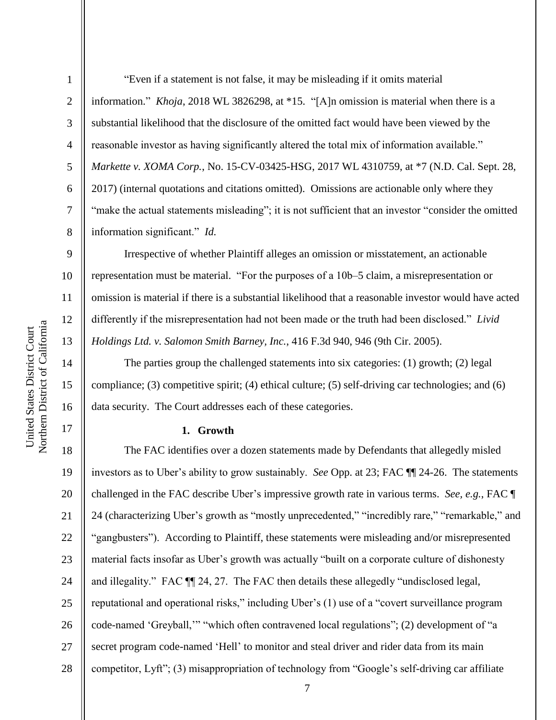Northern District of California Northern District of California United States District Court United States District Court

9

10

11

12

13

14

15

16

17

1 2 3 4 5 6 7 8 information." *Khoja*, 2018 WL 3826298, at \*15. "[A]n omission is material when there is a substantial likelihood that the disclosure of the omitted fact would have been viewed by the reasonable investor as having significantly altered the total mix of information available." *Markette v. XOMA Corp.*, No. 15-CV-03425-HSG, 2017 WL 4310759, at \*7 (N.D. Cal. Sept. 28, 2017) (internal quotations and citations omitted). Omissions are actionable only where they "make the actual statements misleading"; it is not sufficient that an investor "consider the omitted" information significant." *Id.*

Irrespective of whether Plaintiff alleges an omission or misstatement, an actionable representation must be material. "For the purposes of a 10b–5 claim, a misrepresentation or omission is material if there is a substantial likelihood that a reasonable investor would have acted differently if the misrepresentation had not been made or the truth had been disclosed." *Livid Holdings Ltd. v. Salomon Smith Barney, Inc.*, 416 F.3d 940, 946 (9th Cir. 2005).

The parties group the challenged statements into six categories: (1) growth; (2) legal compliance; (3) competitive spirit; (4) ethical culture; (5) self-driving car technologies; and (6) data security. The Court addresses each of these categories.

#### **1. Growth**

18 19 20 21 22 23 24 25 26 27 28 The FAC identifies over a dozen statements made by Defendants that allegedly misled investors as to Uber's ability to grow sustainably. *See* Opp. at 23; FAC ¶¶ 24-26. The statements challenged in the FAC describe Uber's impressive growth rate in various terms. *See, e.g.*, FAC ¶ 24 (characterizing Uber's growth as "mostly unprecedented," "incredibly rare," "remarkable," and "gangbusters"). According to Plaintiff, these statements were misleading and/or misrepresented material facts insofar as Uber's growth was actually "built on a corporate culture of dishonesty and illegality." FAC ¶¶ 24, 27. The FAC then details these allegedly "undisclosed legal, reputational and operational risks," including Uber's (1) use of a "covert surveillance program code-named 'Greyball,'" "which often contravened local regulations"; (2) development of "a secret program code-named 'Hell' to monitor and steal driver and rider data from its main competitor, Lyft"; (3) misappropriation of technology from "Google's self-driving car affiliate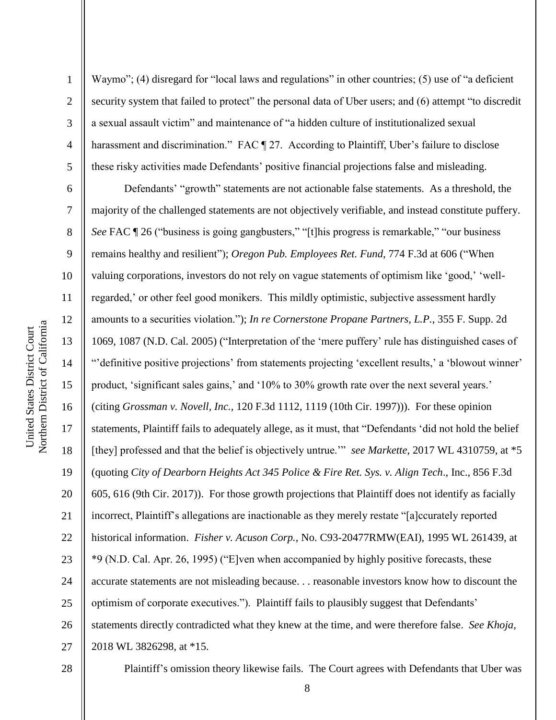2

3

4

5

Waymo"; (4) disregard for "local laws and regulations" in other countries; (5) use of "a deficient security system that failed to protect" the personal data of Uber users; and (6) attempt "to discredit a sexual assault victim" and maintenance of "a hidden culture of institutionalized sexual harassment and discrimination." FAC ¶ 27. According to Plaintiff, Uber's failure to disclose these risky activities made Defendants' positive financial projections false and misleading.

6 7 8 9 10 11 12 13 14 15 16 17 18 19 20 21 22 23 24 25 26 27 Defendants' "growth" statements are not actionable false statements. As a threshold, the majority of the challenged statements are not objectively verifiable, and instead constitute puffery. *See* FAC  $\parallel$  26 ("business is going gangbusters," "[t]his progress is remarkable," "our business remains healthy and resilient"); *Oregon Pub. Employees Ret. Fund*, 774 F.3d at 606 ("When valuing corporations, investors do not rely on vague statements of optimism like 'good,' 'wellregarded,' or other feel good monikers. This mildly optimistic, subjective assessment hardly amounts to a securities violation."); *In re Cornerstone Propane Partners, L.P.*, 355 F. Supp. 2d 1069, 1087 (N.D. Cal. 2005) ("Interpretation of the 'mere puffery' rule has distinguished cases of "'definitive positive projections' from statements projecting 'excellent results,' a 'blowout winner' product, 'significant sales gains,' and '10% to 30% growth rate over the next several years.' (citing *Grossman v. Novell, Inc.,* 120 F.3d 1112, 1119 (10th Cir. 1997))). For these opinion statements, Plaintiff fails to adequately allege, as it must, that "Defendants 'did not hold the belief [they] professed and that the belief is objectively untrue.'" *see Markette*, 2017 WL 4310759, at \*5 (quoting *City of Dearborn Heights Act 345 Police & Fire Ret. Sys. v. Align Tech*., Inc., 856 F.3d 605, 616 (9th Cir. 2017)). For those growth projections that Plaintiff does not identify as facially incorrect, Plaintiff's allegations are inactionable as they merely restate "[a]ccurately reported historical information. *Fisher v. Acuson Corp.*, No. C93-20477RMW(EAI), 1995 WL 261439, at \*9 (N.D. Cal. Apr. 26, 1995) ("E]ven when accompanied by highly positive forecasts, these accurate statements are not misleading because. . . reasonable investors know how to discount the optimism of corporate executives."). Plaintiff fails to plausibly suggest that Defendants' statements directly contradicted what they knew at the time, and were therefore false. *See Khoja*, 2018 WL 3826298, at \*15.

28

Plaintiff's omission theory likewise fails. The Court agrees with Defendants that Uber was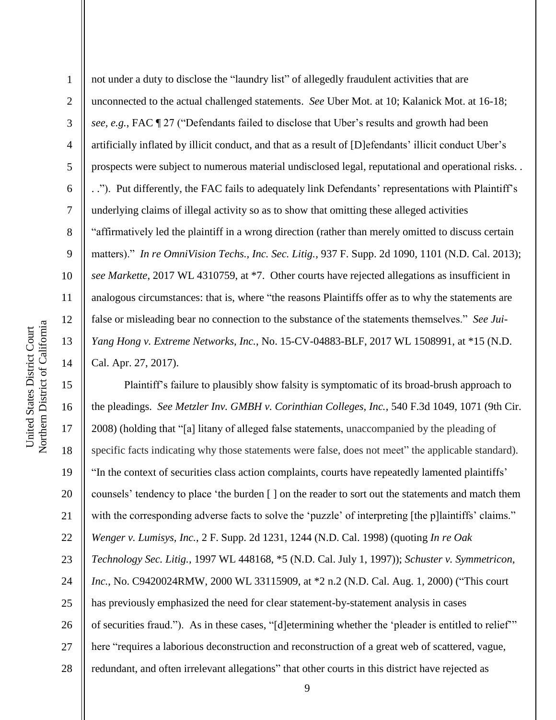1 2 3 4 5 6 7 8 9 10 11 12 13 14 not under a duty to disclose the "laundry list" of allegedly fraudulent activities that are unconnected to the actual challenged statements. *See* Uber Mot. at 10; Kalanick Mot. at 16-18; *see, e.g.*, FAC ¶ 27 ("Defendants failed to disclose that Uber's results and growth had been artificially inflated by illicit conduct, and that as a result of [D]efendants' illicit conduct Uber's prospects were subject to numerous material undisclosed legal, reputational and operational risks. . . ."). Put differently, the FAC fails to adequately link Defendants' representations with Plaintiff's underlying claims of illegal activity so as to show that omitting these alleged activities "affirmatively led the plaintiff in a wrong direction (rather than merely omitted to discuss certain matters)." *In re OmniVision Techs., Inc. Sec. Litig.*, 937 F. Supp. 2d 1090, 1101 (N.D. Cal. 2013); *see Markette*, 2017 WL 4310759, at \*7. Other courts have rejected allegations as insufficient in analogous circumstances: that is, where "the reasons Plaintiffs offer as to why the statements are false or misleading bear no connection to the substance of the statements themselves." *See Jui-Yang Hong v. Extreme Networks, Inc.*, No. 15-CV-04883-BLF, 2017 WL 1508991, at \*15 (N.D. Cal. Apr. 27, 2017).

15 16 17 18 19 20 21 22 23 24 25 26 27 28 Plaintiff's failure to plausibly show falsity is symptomatic of its broad-brush approach to the pleadings. *See Metzler Inv. GMBH v. Corinthian Colleges, Inc.*, 540 F.3d 1049, 1071 (9th Cir. 2008) (holding that "[a] litany of alleged false statements, unaccompanied by the pleading of specific facts indicating why those statements were false, does not meet" the applicable standard). "In the context of securities class action complaints, courts have repeatedly lamented plaintiffs' counsels' tendency to place 'the burden [ ] on the reader to sort out the statements and match them with the corresponding adverse facts to solve the 'puzzle' of interpreting [the p]laintiffs' claims." *Wenger v. Lumisys, Inc.*, 2 F. Supp. 2d 1231, 1244 (N.D. Cal. 1998) (quoting *In re Oak Technology Sec. Litig.,* 1997 WL 448168, \*5 (N.D. Cal. July 1, 1997)); *Schuster v. Symmetricon, Inc.*, No. C9420024RMW, 2000 WL 33115909, at \*2 n.2 (N.D. Cal. Aug. 1, 2000) ("This court has previously emphasized the need for clear statement-by-statement analysis in cases of securities fraud."). As in these cases, "[d]etermining whether the 'pleader is entitled to relief'" here "requires a laborious deconstruction and reconstruction of a great web of scattered, vague, redundant, and often irrelevant allegations" that other courts in this district have rejected as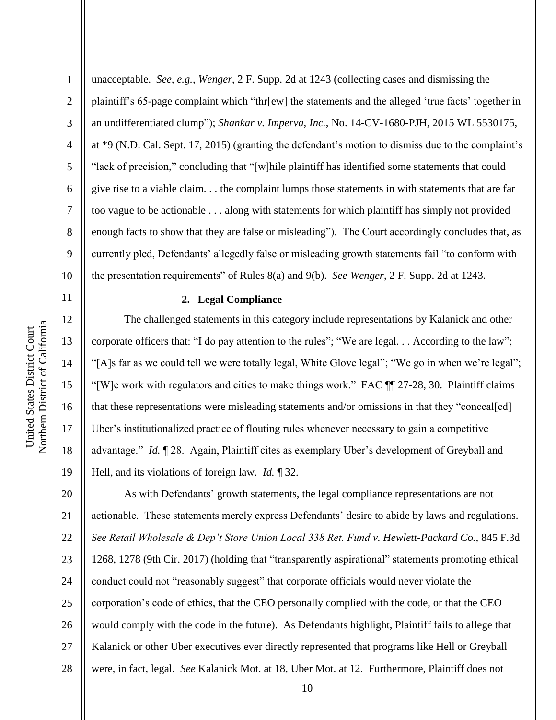11

12

13

14

15

16

17

18

19

2 3 4 5 6 7 8 9 10 unacceptable. *See, e.g.*, *Wenger*, 2 F. Supp. 2d at 1243 (collecting cases and dismissing the plaintiff's 65-page complaint which "thr[ew] the statements and the alleged 'true facts' together in an undifferentiated clump"); *Shankar v. Imperva, Inc.*, No. 14-CV-1680-PJH, 2015 WL 5530175, at \*9 (N.D. Cal. Sept. 17, 2015) (granting the defendant's motion to dismiss due to the complaint's "lack of precision," concluding that "[w]hile plaintiff has identified some statements that could give rise to a viable claim. . . the complaint lumps those statements in with statements that are far too vague to be actionable . . . along with statements for which plaintiff has simply not provided enough facts to show that they are false or misleading"). The Court accordingly concludes that, as currently pled, Defendants' allegedly false or misleading growth statements fail "to conform with the presentation requirements" of Rules 8(a) and 9(b). *See Wenger*, 2 F. Supp. 2d at 1243.

## **2. Legal Compliance**

The challenged statements in this category include representations by Kalanick and other corporate officers that: "I do pay attention to the rules"; "We are legal. . . According to the law"; "[A]s far as we could tell we were totally legal, White Glove legal"; "We go in when we're legal"; "[W]e work with regulators and cities to make things work." FAC ¶¶ 27-28, 30. Plaintiff claims that these representations were misleading statements and/or omissions in that they "conceal[ed] Uber's institutionalized practice of flouting rules whenever necessary to gain a competitive advantage." *Id.* ¶ 28. Again, Plaintiff cites as exemplary Uber's development of Greyball and Hell, and its violations of foreign law. *Id.* ¶ 32.

20 21 22 23 24 25 26 27 28 As with Defendants' growth statements, the legal compliance representations are not actionable. These statements merely express Defendants' desire to abide by laws and regulations. *See Retail Wholesale & Dep't Store Union Local 338 Ret. Fund v. Hewlett-Packard Co.*, 845 F.3d 1268, 1278 (9th Cir. 2017) (holding that "transparently aspirational" statements promoting ethical conduct could not "reasonably suggest" that corporate officials would never violate the corporation's code of ethics, that the CEO personally complied with the code, or that the CEO would comply with the code in the future). As Defendants highlight, Plaintiff fails to allege that Kalanick or other Uber executives ever directly represented that programs like Hell or Greyball were, in fact, legal. *See* Kalanick Mot. at 18, Uber Mot. at 12. Furthermore, Plaintiff does not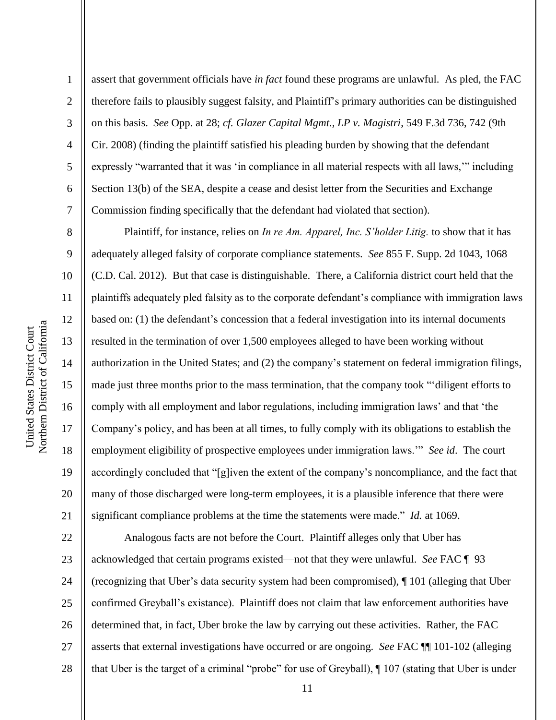2

3

4

5

6

7

8

9

10

11

12

13

14

15

16

17

18

19

20

21

assert that government officials have *in fact* found these programs are unlawful. As pled, the FAC therefore fails to plausibly suggest falsity, and Plaintiff's primary authorities can be distinguished on this basis. *See* Opp. at 28; *cf. Glazer Capital Mgmt., LP v. Magistri*, 549 F.3d 736, 742 (9th Cir. 2008) (finding the plaintiff satisfied his pleading burden by showing that the defendant expressly "warranted that it was 'in compliance in all material respects with all laws,'" including Section 13(b) of the SEA, despite a cease and desist letter from the Securities and Exchange Commission finding specifically that the defendant had violated that section).

Plaintiff, for instance, relies on *In re Am. Apparel, Inc. S'holder Litig.* to show that it has adequately alleged falsity of corporate compliance statements. *See* 855 F. Supp. 2d 1043, 1068 (C.D. Cal. 2012). But that case is distinguishable. There, a California district court held that the plaintiffs adequately pled falsity as to the corporate defendant's compliance with immigration laws based on: (1) the defendant's concession that a federal investigation into its internal documents resulted in the termination of over 1,500 employees alleged to have been working without authorization in the United States; and (2) the company's statement on federal immigration filings, made just three months prior to the mass termination, that the company took "'diligent efforts to comply with all employment and labor regulations, including immigration laws' and that 'the Company's policy, and has been at all times, to fully comply with its obligations to establish the employment eligibility of prospective employees under immigration laws.'" *See id*. The court accordingly concluded that "[g]iven the extent of the company's noncompliance, and the fact that many of those discharged were long-term employees, it is a plausible inference that there were significant compliance problems at the time the statements were made." *Id.* at 1069.

22 23 24 25 26 27 28 Analogous facts are not before the Court. Plaintiff alleges only that Uber has acknowledged that certain programs existed—not that they were unlawful. *See* FAC ¶ 93 (recognizing that Uber's data security system had been compromised), ¶ 101 (alleging that Uber confirmed Greyball's existance). Plaintiff does not claim that law enforcement authorities have determined that, in fact, Uber broke the law by carrying out these activities. Rather, the FAC asserts that external investigations have occurred or are ongoing. *See* FAC ¶¶ 101-102 (alleging that Uber is the target of a criminal "probe" for use of Greyball), ¶ 107 (stating that Uber is under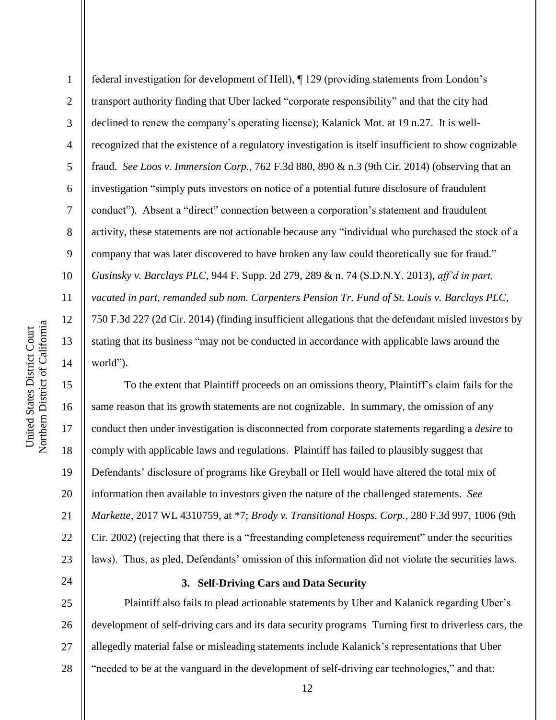1 2 3 4 5 6 7 8 9 10 11 12 13 14 federal investigation for development of Hell), ¶ 129 (providing statements from London's transport authority finding that Uber lacked "corporate responsibility" and that the city had declined to renew the company's operating license); Kalanick Mot. at 19 n.27. It is wellrecognized that the existence of a regulatory investigation is itself insufficient to show cognizable fraud. *See Loos v. Immersion Corp.*, 762 F.3d 880, 890 & n.3 (9th Cir. 2014) (observing that an investigation "simply puts investors on notice of a potential future disclosure of fraudulent conduct"). Absent a "direct" connection between a corporation's statement and fraudulent activity, these statements are not actionable because any "individual who purchased the stock of a company that was later discovered to have broken any law could theoretically sue for fraud." *Gusinsky v. Barclays PLC*, 944 F. Supp. 2d 279, 289 & n. 74 (S.D.N.Y. 2013), *aff'd in part, vacated in part, remanded sub nom. Carpenters Pension Tr. Fund of St. Louis v. Barclays PLC*, 750 F.3d 227 (2d Cir. 2014) (finding insufficient allegations that the defendant misled investors by stating that its business "may not be conducted in accordance with applicable laws around the world").

15 16 17 18 19 20 21 22 23 To the extent that Plaintiff proceeds on an omissions theory, Plaintiff's claim fails for the same reason that its growth statements are not cognizable. In summary, the omission of any conduct then under investigation is disconnected from corporate statements regarding a *desire* to comply with applicable laws and regulations. Plaintiff has failed to plausibly suggest that Defendants' disclosure of programs like Greyball or Hell would have altered the total mix of information then available to investors given the nature of the challenged statements. *See Markette*, 2017 WL 4310759, at \*7; *Brody v. Transitional Hosps. Corp.*, 280 F.3d 997, 1006 (9th Cir. 2002) (rejecting that there is a "freestanding completeness requirement" under the securities laws). Thus, as pled, Defendants' omission of this information did not violate the securities laws.

#### **3. Self-Driving Cars and Data Security**

25 26 27 28 Plaintiff also fails to plead actionable statements by Uber and Kalanick regarding Uber's development of self-driving cars and its data security programs Turning first to driverless cars, the allegedly material false or misleading statements include Kalanick's representations that Uber "needed to be at the vanguard in the development of self-driving car technologies," and that: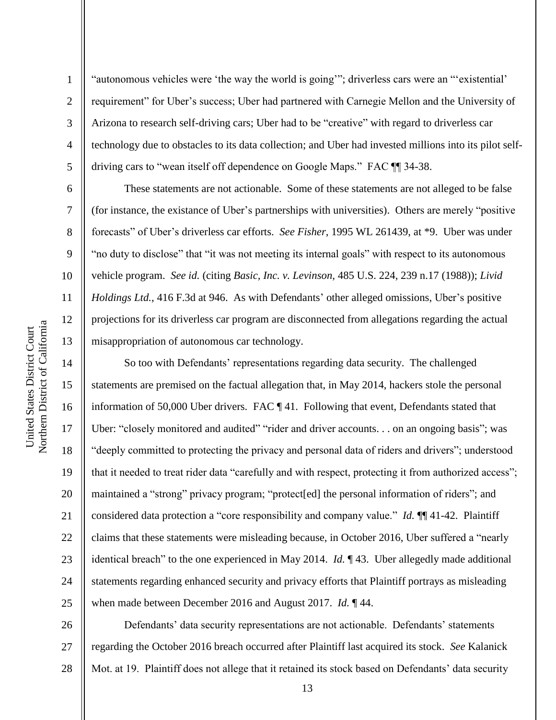2

3

4

5

6

7

8

9

10

11

12

13

14

15

16

17

18

19

20

21

22

23

24

25

"autonomous vehicles were 'the way the world is going'"; driverless cars were an "'existential' requirement" for Uber's success; Uber had partnered with Carnegie Mellon and the University of Arizona to research self-driving cars; Uber had to be "creative" with regard to driverless car technology due to obstacles to its data collection; and Uber had invested millions into its pilot selfdriving cars to "wean itself off dependence on Google Maps." FAC ¶¶ 34-38.

These statements are not actionable. Some of these statements are not alleged to be false (for instance, the existance of Uber's partnerships with universities). Others are merely "positive forecasts" of Uber's driverless car efforts. *See Fisher*, 1995 WL 261439, at \*9. Uber was under "no duty to disclose" that "it was not meeting its internal goals" with respect to its autonomous vehicle program. *See id.* (citing *Basic, Inc. v. Levinson,* 485 U.S. 224, 239 n.17 (1988)); *Livid Holdings Ltd.*, 416 F.3d at 946. As with Defendants' other alleged omissions, Uber's positive projections for its driverless car program are disconnected from allegations regarding the actual misappropriation of autonomous car technology.

So too with Defendants' representations regarding data security. The challenged statements are premised on the factual allegation that, in May 2014, hackers stole the personal information of 50,000 Uber drivers. FAC ¶ 41. Following that event, Defendants stated that Uber: "closely monitored and audited" "rider and driver accounts. . . on an ongoing basis"; was "deeply committed to protecting the privacy and personal data of riders and drivers"; understood that it needed to treat rider data "carefully and with respect, protecting it from authorized access"; maintained a "strong" privacy program; "protect[ed] the personal information of riders"; and considered data protection a "core responsibility and company value." *Id.* ¶¶ 41-42. Plaintiff claims that these statements were misleading because, in October 2016, Uber suffered a "nearly identical breach" to the one experienced in May 2014. *Id.* ¶ 43. Uber allegedly made additional statements regarding enhanced security and privacy efforts that Plaintiff portrays as misleading when made between December 2016 and August 2017. *Id.* ¶ 44.

26 27 28 Defendants' data security representations are not actionable. Defendants' statements regarding the October 2016 breach occurred after Plaintiff last acquired its stock. *See* Kalanick Mot. at 19. Plaintiff does not allege that it retained its stock based on Defendants' data security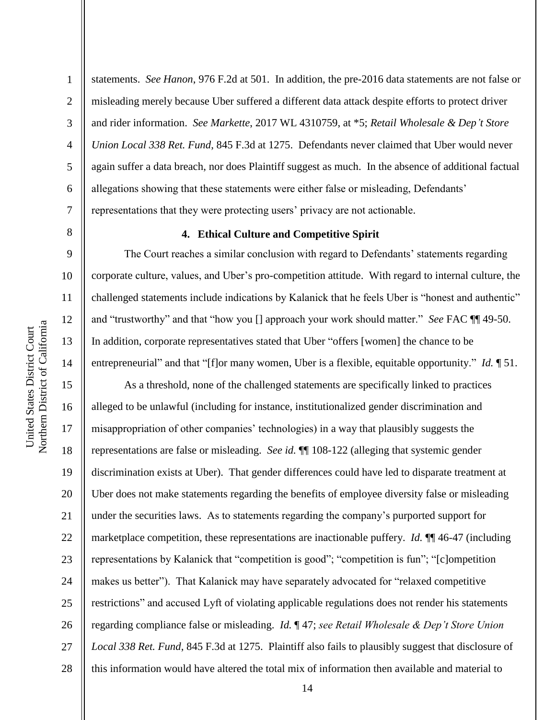2

3

4

5

6

7

8

9

10

11

12

13

14

15

17

18

19

21

25

statements. *See Hanon*, 976 F.2d at 501. In addition, the pre-2016 data statements are not false or misleading merely because Uber suffered a different data attack despite efforts to protect driver and rider information. *See Markette*, 2017 WL 4310759, at \*5; *Retail Wholesale & Dep't Store Union Local 338 Ret. Fund*, 845 F.3d at 1275. Defendants never claimed that Uber would never again suffer a data breach, nor does Plaintiff suggest as much. In the absence of additional factual allegations showing that these statements were either false or misleading, Defendants' representations that they were protecting users' privacy are not actionable.

#### **4. Ethical Culture and Competitive Spirit**

The Court reaches a similar conclusion with regard to Defendants' statements regarding corporate culture, values, and Uber's pro-competition attitude. With regard to internal culture, the challenged statements include indications by Kalanick that he feels Uber is "honest and authentic" and "trustworthy" and that "how you [] approach your work should matter." *See* FAC ¶¶ 49-50. In addition, corporate representatives stated that Uber "offers [women] the chance to be entrepreneurial" and that "[f]or many women, Uber is a flexible, equitable opportunity." *Id.* ¶ 51.

16 20 22 23 24 26 27 28 As a threshold, none of the challenged statements are specifically linked to practices alleged to be unlawful (including for instance, institutionalized gender discrimination and misappropriation of other companies' technologies) in a way that plausibly suggests the representations are false or misleading. *See id.* ¶¶ 108-122 (alleging that systemic gender discrimination exists at Uber). That gender differences could have led to disparate treatment at Uber does not make statements regarding the benefits of employee diversity false or misleading under the securities laws. As to statements regarding the company's purported support for marketplace competition, these representations are inactionable puffery. *Id.* ¶¶ 46-47 (including representations by Kalanick that "competition is good"; "competition is fun"; "[c]ompetition makes us better"). That Kalanick may have separately advocated for "relaxed competitive restrictions" and accused Lyft of violating applicable regulations does not render his statements regarding compliance false or misleading. *Id.* ¶ 47; *see Retail Wholesale & Dep't Store Union Local 338 Ret. Fund*, 845 F.3d at 1275. Plaintiff also fails to plausibly suggest that disclosure of this information would have altered the total mix of information then available and material to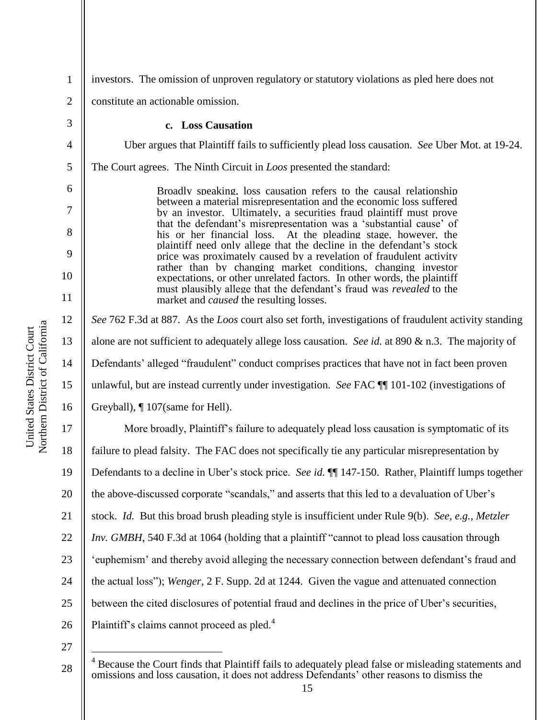| $\mathbf{1}$   | investors. The omission of unproven regulatory or statutory violations as pled here does not                                                |
|----------------|---------------------------------------------------------------------------------------------------------------------------------------------|
| $\overline{2}$ | constitute an actionable omission.                                                                                                          |
| 3              | c. Loss Causation                                                                                                                           |
| $\overline{4}$ | Uber argues that Plaintiff fails to sufficiently plead loss causation. See Uber Mot. at 19-24.                                              |
| 5              | The Court agrees. The Ninth Circuit in <i>Loos</i> presented the standard:                                                                  |
| 6              | Broadly speaking, loss causation refers to the causal relationship                                                                          |
| 7              | between a material misrepresentation and the economic loss suffered<br>by an investor. Ultimately, a securities fraud plaintiff must prove  |
| 8              | that the defendant's misrepresentation was a 'substantial cause' of<br>his or her financial loss. At the pleading stage, however, the       |
| 9              | plaintiff need only allege that the decline in the defendant's stock<br>price was proximately caused by a revelation of fraudulent activity |
| 10             | rather than by changing market conditions, changing investor<br>expectations, or other unrelated factors. In other words, the plaintiff     |
| 11             | must plausibly allege that the defendant's fraud was <i>revealed</i> to the<br>market and <i>caused</i> the resulting losses.               |
| 12             | See 762 F.3d at 887. As the Loos court also set forth, investigations of fraudulent activity standing                                       |
| 13             | alone are not sufficient to adequately allege loss causation. See id. at 890 $\&$ n.3. The majority of                                      |
| 14             | Defendants' alleged "fraudulent" conduct comprises practices that have not in fact been proven                                              |
| 15             | unlawful, but are instead currently under investigation. See FAC [[1] 101-102 (investigations of                                            |
| 16             | Greyball), ¶ 107(same for Hell).                                                                                                            |
| 17             | More broadly, Plaintiff's failure to adequately plead loss causation is symptomatic of its                                                  |
| 18             | failure to plead falsity. The FAC does not specifically tie any particular misrepresentation by                                             |
| 19             | Defendants to a decline in Uber's stock price. See id. ¶¶ 147-150. Rather, Plaintiff lumps together                                         |
| 20             | the above-discussed corporate "scandals," and asserts that this led to a devaluation of Uber's                                              |
| 21             | stock. Id. But this broad brush pleading style is insufficient under Rule 9(b). See, e.g., Metzler                                          |
| 22             | <i>Inv. GMBH</i> , 540 F.3d at 1064 (holding that a plaintiff "cannot to plead loss causation through                                       |
| 23             | 'euphemism' and thereby avoid alleging the necessary connection between defendant's fraud and                                               |
| 24             | the actual loss"); Wenger, 2 F. Supp. 2d at 1244. Given the vague and attenuated connection                                                 |
| 25             | between the cited disclosures of potential fraud and declines in the price of Uber's securities,                                            |
| 26             | Plaintiff's claims cannot proceed as pled. <sup>4</sup>                                                                                     |
| 27             |                                                                                                                                             |

United States District Court<br>Northern District of California Northern District of California United States District Court

 $\overline{a}$ 

28  $4$  Because the Court finds that Plaintiff fails to adequately plead false or misleading statements and omissions and loss causation, it does not address Defendants' other reasons to dismiss the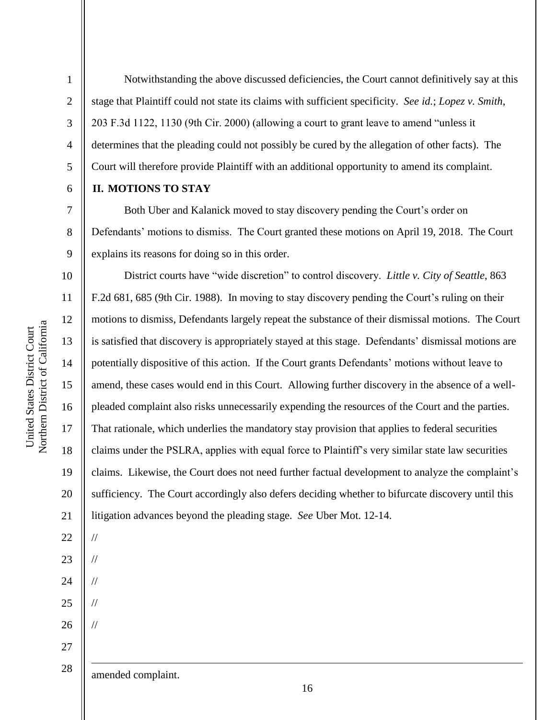2

3

4

5

6

7

8

9

Notwithstanding the above discussed deficiencies, the Court cannot definitively say at this stage that Plaintiff could not state its claims with sufficient specificity. *See id.*; *Lopez v. Smith*, 203 F.3d 1122, 1130 (9th Cir. 2000) (allowing a court to grant leave to amend "unless it determines that the pleading could not possibly be cured by the allegation of other facts). The Court will therefore provide Plaintiff with an additional opportunity to amend its complaint.

#### **II. MOTIONS TO STAY**

Both Uber and Kalanick moved to stay discovery pending the Court's order on Defendants' motions to dismiss. The Court granted these motions on April 19, 2018. The Court explains its reasons for doing so in this order.

10 11 12 13 14 15 16 17 18 19 20 21 District courts have "wide discretion" to control discovery. *Little v. City of Seattle*, 863 F.2d 681, 685 (9th Cir. 1988). In moving to stay discovery pending the Court's ruling on their motions to dismiss, Defendants largely repeat the substance of their dismissal motions. The Court is satisfied that discovery is appropriately stayed at this stage. Defendants' dismissal motions are potentially dispositive of this action. If the Court grants Defendants' motions without leave to amend, these cases would end in this Court. Allowing further discovery in the absence of a wellpleaded complaint also risks unnecessarily expending the resources of the Court and the parties. That rationale, which underlies the mandatory stay provision that applies to federal securities claims under the PSLRA, applies with equal force to Plaintiff's very similar state law securities claims. Likewise, the Court does not need further factual development to analyze the complaint's sufficiency. The Court accordingly also defers deciding whether to bifurcate discovery until this litigation advances beyond the pleading stage. *See* Uber Mot. 12-14.

28

27

22

//

//

//

//

//

1

23

24

25

26

amended complaint.